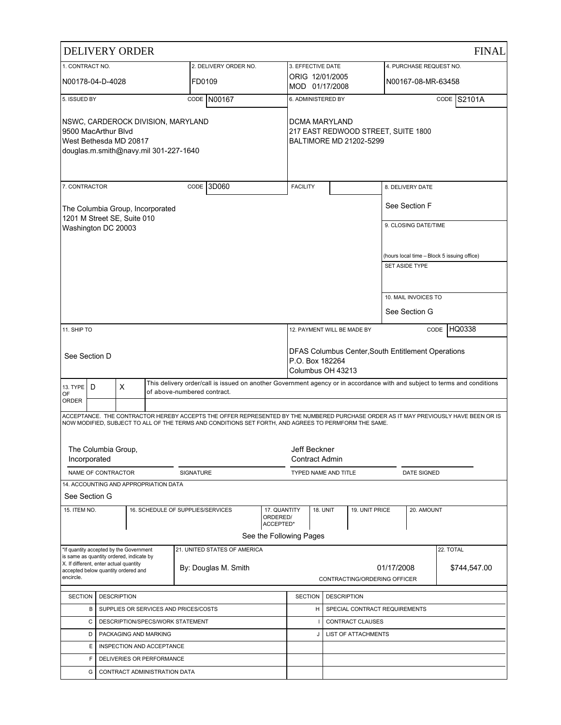|                                                                                                                              |                                                                  | <b>DELIVERY ORDER</b>                                                              |                      |                                                                                                                                                                                                                                             |                                                                |                                                                                            |                  |                              |            |                         | <b>FINAL</b>                                |
|------------------------------------------------------------------------------------------------------------------------------|------------------------------------------------------------------|------------------------------------------------------------------------------------|----------------------|---------------------------------------------------------------------------------------------------------------------------------------------------------------------------------------------------------------------------------------------|----------------------------------------------------------------|--------------------------------------------------------------------------------------------|------------------|------------------------------|------------|-------------------------|---------------------------------------------|
| 1. CONTRACT NO.                                                                                                              |                                                                  |                                                                                    |                      | 2. DELIVERY ORDER NO.                                                                                                                                                                                                                       |                                                                | 3. EFFECTIVE DATE                                                                          |                  |                              |            | 4. PURCHASE REQUEST NO. |                                             |
|                                                                                                                              | N00178-04-D-4028                                                 |                                                                                    |                      | FD0109                                                                                                                                                                                                                                      |                                                                | ORIG 12/01/2005<br>MOD 01/17/2008                                                          |                  |                              |            | N00167-08-MR-63458      |                                             |
| 5. ISSUED BY                                                                                                                 |                                                                  |                                                                                    |                      | CODE N00167                                                                                                                                                                                                                                 |                                                                | 6. ADMINISTERED BY                                                                         |                  |                              |            |                         | <b>CODE S2101A</b>                          |
| NSWC, CARDEROCK DIVISION, MARYLAND<br>9500 MacArthur Blvd<br>West Bethesda MD 20817<br>douglas.m.smith@navy.mil 301-227-1640 |                                                                  |                                                                                    | <b>DCMA MARYLAND</b> |                                                                                                                                                                                                                                             | 217 EAST REDWOOD STREET, SUITE 1800<br>BALTIMORE MD 21202-5299 |                                                                                            |                  |                              |            |                         |                                             |
| 7. CONTRACTOR                                                                                                                |                                                                  |                                                                                    |                      | CODE 3D060                                                                                                                                                                                                                                  |                                                                | <b>FACILITY</b>                                                                            |                  |                              |            | 8. DELIVERY DATE        |                                             |
|                                                                                                                              |                                                                  | The Columbia Group, Incorporated<br>1201 M Street SE, Suite 010                    |                      |                                                                                                                                                                                                                                             |                                                                |                                                                                            |                  |                              |            | See Section F           |                                             |
|                                                                                                                              | Washington DC 20003                                              |                                                                                    |                      |                                                                                                                                                                                                                                             |                                                                |                                                                                            |                  |                              |            | 9. CLOSING DATE/TIME    |                                             |
|                                                                                                                              |                                                                  |                                                                                    |                      |                                                                                                                                                                                                                                             |                                                                |                                                                                            |                  |                              |            | SET ASIDE TYPE          | (hours local time - Block 5 issuing office) |
|                                                                                                                              |                                                                  |                                                                                    |                      |                                                                                                                                                                                                                                             |                                                                |                                                                                            |                  |                              |            |                         |                                             |
|                                                                                                                              |                                                                  |                                                                                    |                      |                                                                                                                                                                                                                                             |                                                                |                                                                                            |                  |                              |            | 10. MAIL INVOICES TO    |                                             |
|                                                                                                                              |                                                                  |                                                                                    |                      |                                                                                                                                                                                                                                             |                                                                |                                                                                            |                  |                              |            | See Section G           |                                             |
| 11. SHIP TO                                                                                                                  |                                                                  |                                                                                    |                      |                                                                                                                                                                                                                                             |                                                                | 12. PAYMENT WILL BE MADE BY<br>CODE                                                        |                  | HQ0338                       |            |                         |                                             |
|                                                                                                                              | See Section D                                                    |                                                                                    |                      |                                                                                                                                                                                                                                             |                                                                | DFAS Columbus Center, South Entitlement Operations<br>P.O. Box 182264<br>Columbus OH 43213 |                  |                              |            |                         |                                             |
| 13. TYPE<br>OF                                                                                                               | D                                                                | X                                                                                  |                      | This delivery order/call is issued on another Government agency or in accordance with and subject to terms and conditions<br>of above-numbered contract.                                                                                    |                                                                |                                                                                            |                  |                              |            |                         |                                             |
| ORDER                                                                                                                        |                                                                  |                                                                                    |                      |                                                                                                                                                                                                                                             |                                                                |                                                                                            |                  |                              |            |                         |                                             |
|                                                                                                                              |                                                                  |                                                                                    |                      | ACCEPTANCE. THE CONTRACTOR HEREBY ACCEPTS THE OFFER REPRESENTED BY THE NUMBERED PURCHASE ORDER AS IT MAY PREVIOUSLY HAVE BEEN OR IS<br>NOW MODIFIED, SUBJECT TO ALL OF THE TERMS AND CONDITIONS SET FORTH, AND AGREES TO PERMFORM THE SAME. |                                                                |                                                                                            |                  |                              |            |                         |                                             |
|                                                                                                                              | The Columbia Group,<br>Incorporated                              |                                                                                    |                      |                                                                                                                                                                                                                                             |                                                                | Jeff Beckner<br><b>Contract Admin</b>                                                      |                  |                              |            |                         |                                             |
|                                                                                                                              | NAME OF CONTRACTOR                                               |                                                                                    |                      | SIGNATURE                                                                                                                                                                                                                                   |                                                                | TYPED NAME AND TITLE                                                                       |                  |                              |            | DATE SIGNED             |                                             |
|                                                                                                                              | See Section G                                                    | 14. ACCOUNTING AND APPROPRIATION DATA                                              |                      |                                                                                                                                                                                                                                             |                                                                |                                                                                            |                  |                              |            |                         |                                             |
| 15. ITEM NO.                                                                                                                 |                                                                  |                                                                                    |                      | 16. SCHEDULE OF SUPPLIES/SERVICES                                                                                                                                                                                                           | 17. QUANTITY<br>ORDERED/                                       |                                                                                            | <b>18. UNIT</b>  | 19. UNIT PRICE               |            | 20. AMOUNT              |                                             |
|                                                                                                                              |                                                                  |                                                                                    |                      |                                                                                                                                                                                                                                             | ACCEPTED*<br>See the Following Pages                           |                                                                                            |                  |                              |            |                         |                                             |
|                                                                                                                              |                                                                  | *If quantity accepted by the Government                                            |                      | 21. UNITED STATES OF AMERICA                                                                                                                                                                                                                |                                                                |                                                                                            |                  |                              |            |                         | 22. TOTAL                                   |
|                                                                                                                              |                                                                  | is same as quantity ordered, indicate by<br>X. If different, enter actual quantity |                      |                                                                                                                                                                                                                                             |                                                                |                                                                                            |                  |                              |            |                         |                                             |
| encircle.                                                                                                                    |                                                                  | accepted below quantity ordered and                                                |                      | By: Douglas M. Smith                                                                                                                                                                                                                        |                                                                |                                                                                            |                  | CONTRACTING/ORDERING OFFICER | 01/17/2008 |                         | \$744,547.00                                |
| <b>SECTION</b>                                                                                                               |                                                                  |                                                                                    |                      |                                                                                                                                                                                                                                             |                                                                | <b>SECTION</b>                                                                             |                  | <b>DESCRIPTION</b>           |            |                         |                                             |
|                                                                                                                              | <b>DESCRIPTION</b><br>SUPPLIES OR SERVICES AND PRICES/COSTS<br>В |                                                                                    |                      | н                                                                                                                                                                                                                                           |                                                                | SPECIAL CONTRACT REQUIREMENTS                                                              |                  |                              |            |                         |                                             |
|                                                                                                                              | DESCRIPTION/SPECS/WORK STATEMENT<br>C                            |                                                                                    |                      |                                                                                                                                                                                                                                             |                                                                |                                                                                            | CONTRACT CLAUSES |                              |            |                         |                                             |
|                                                                                                                              | D                                                                | PACKAGING AND MARKING                                                              |                      |                                                                                                                                                                                                                                             |                                                                |                                                                                            | J                | <b>LIST OF ATTACHMENTS</b>   |            |                         |                                             |
|                                                                                                                              | Е                                                                | INSPECTION AND ACCEPTANCE                                                          |                      |                                                                                                                                                                                                                                             |                                                                |                                                                                            |                  |                              |            |                         |                                             |
|                                                                                                                              | F                                                                | DELIVERIES OR PERFORMANCE                                                          |                      |                                                                                                                                                                                                                                             |                                                                |                                                                                            |                  |                              |            |                         |                                             |
|                                                                                                                              | G                                                                | CONTRACT ADMINISTRATION DATA                                                       |                      |                                                                                                                                                                                                                                             |                                                                |                                                                                            |                  |                              |            |                         |                                             |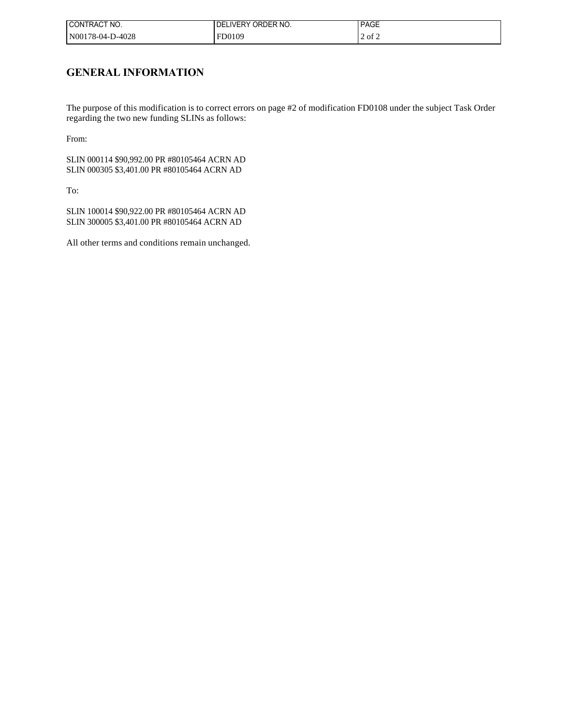| ! CONTRACT NO.   | <b>IDELIVERY ORDER NO.</b> | <b>PAGE</b> |
|------------------|----------------------------|-------------|
| N00178-04-D-4028 | FD0109                     | $2$ of $2$  |

## **GENERAL INFORMATION**

The purpose of this modification is to correct errors on page #2 of modification FD0108 under the subject Task Order regarding the two new funding SLINs as follows:

From:

SLIN 000114 \$90,992.00 PR #80105464 ACRN AD SLIN 000305 \$3,401.00 PR #80105464 ACRN AD

To:

SLIN 100014 \$90,922.00 PR #80105464 ACRN AD SLIN 300005 \$3,401.00 PR #80105464 ACRN AD

All other terms and conditions remain unchanged.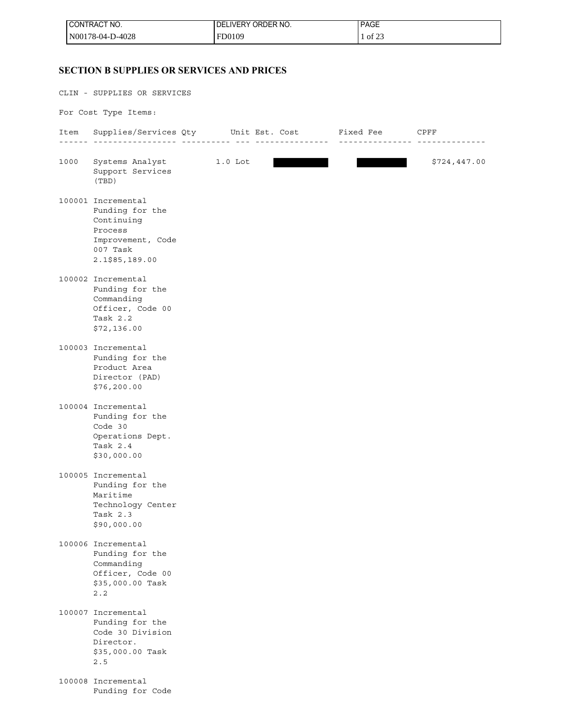| <b>I CONTRACT NO.</b> | I DELIVERY ORDER NO. | <b>PAGE</b> |
|-----------------------|----------------------|-------------|
| N00178-04-D-4028      | FD0109               | 1 of 23     |

### **SECTION B SUPPLIES OR SERVICES AND PRICES**

CLIN - SUPPLIES OR SERVICES For Cost Type Items: Item Supplies/Services Qty Unit Est. Cost Fixed Fee CPFF ------ ----------------- ---------- --- --------------- --------------- -------------- 1000 Systems Analyst 1.0 Lot 1.0 Lot \$724,447.00 Support Services (TBD) 100001 Incremental Funding for the Continuing Process Improvement, Code 007 Task 2.1\$85,189.00 100002 Incremental Funding for the Commanding Officer, Code 00 Task 2.2 \$72,136.00 100003 Incremental Funding for the Product Area Director (PAD) \$76,200.00 100004 Incremental Funding for the Code 30 Operations Dept. Task 2.4 \$30,000.00 100005 Incremental Funding for the Maritime Technology Center Task 2.3 \$90,000.00 100006 Incremental Funding for the Commanding Officer, Code 00 \$35,000.00 Task 2.2 100007 Incremental Funding for the Code 30 Division Director. \$35,000.00 Task 2.5 100008 Incremental Funding for Code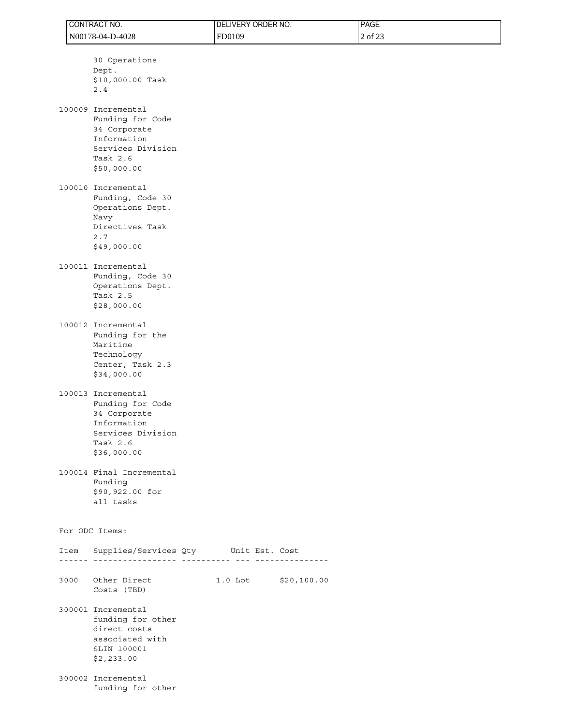|      | CONTRACT NO.                                                                                                                                                               | DELIVERY ORDER NO.     | PAGE    |  |
|------|----------------------------------------------------------------------------------------------------------------------------------------------------------------------------|------------------------|---------|--|
|      | N00178-04-D-4028                                                                                                                                                           | FD0109                 | 2 of 23 |  |
|      | 30 Operations<br>Dept.<br>\$10,000.00 Task<br>2.4<br>100009 Incremental<br>Funding for Code<br>34 Corporate<br>Information<br>Services Division<br>Task 2.6<br>\$50,000.00 |                        |         |  |
|      | 100010 Incremental<br>Funding, Code 30<br>Operations Dept.<br>Navy<br>Directives Task<br>2.7<br>\$49,000.00                                                                |                        |         |  |
|      | 100011 Incremental<br>Funding, Code 30<br>Operations Dept.<br>Task 2.5<br>\$28,000.00                                                                                      |                        |         |  |
|      | 100012 Incremental<br>Funding for the<br>Maritime<br>Technology<br>Center, Task 2.3<br>\$34,000.00                                                                         |                        |         |  |
|      | 100013 Incremental<br>Funding for Code<br>34 Corporate<br>Information<br>Services Division<br>Task 2.6<br>\$36,000.00                                                      |                        |         |  |
|      | 100014 Final Incremental<br>Funding<br>\$90,922.00 for<br>all tasks                                                                                                        |                        |         |  |
|      | For ODC Items:                                                                                                                                                             |                        |         |  |
| Item | Supplies/Services Qty Unit Est. Cost                                                                                                                                       |                        |         |  |
| 3000 | Other Direct<br>Costs (TBD)                                                                                                                                                | $1.0$ Lot $$20,100.00$ |         |  |
|      | 300001 Incremental<br>funding for other<br>direct costs<br>associated with<br>SLIN 100001<br>\$2,233.00                                                                    |                        |         |  |
|      | 300002 Incremental<br>funding for other                                                                                                                                    |                        |         |  |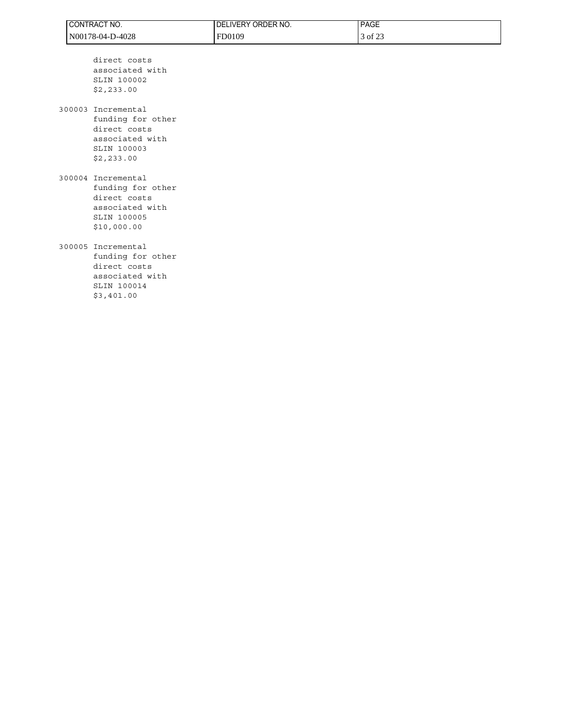| CONTRACT NO.     | ' DELIVERY ORDER NO. | <b>PAGE</b> |
|------------------|----------------------|-------------|
| N00178-04-D-4028 | FD0109               | 3 of 23     |

 direct costs associated with SLIN 100002 \$2,233.00

300003 Incremental funding for other direct costs associated with SLIN 100003 \$2,233.00

300004 Incremental funding for other direct costs associated with SLIN 100005 \$10,000.00

### 300005 Incremental

 funding for other direct costs associated with SLIN 100014 \$3,401.00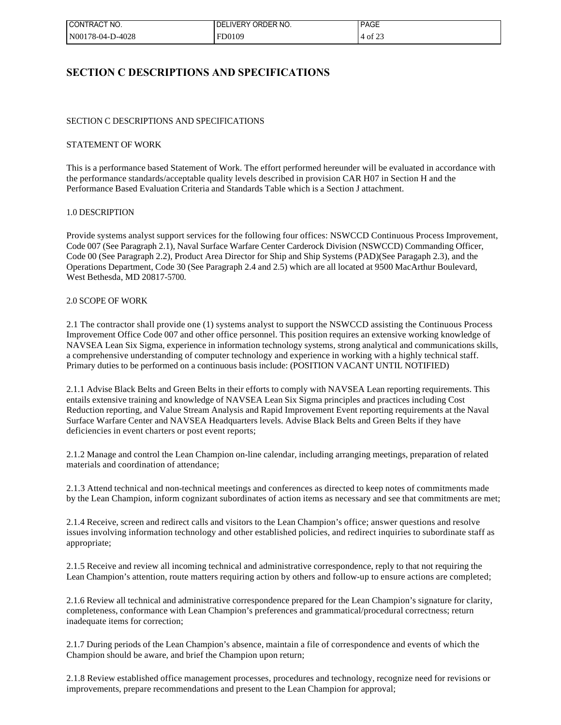| ! CONTRACT NO.   | ".IVERY ORDER NO.<br>DEI | <b>PAGE</b> |
|------------------|--------------------------|-------------|
| N00178-04-D-4028 | FD0109                   | $4$ of 23   |

### **SECTION C DESCRIPTIONS AND SPECIFICATIONS**

### SECTION C DESCRIPTIONS AND SPECIFICATIONS

#### STATEMENT OF WORK

This is a performance based Statement of Work. The effort performed hereunder will be evaluated in accordance with the performance standards/acceptable quality levels described in provision CAR H07 in Section H and the Performance Based Evaluation Criteria and Standards Table which is a Section J attachment.

### 1.0 DESCRIPTION

Provide systems analyst support services for the following four offices: NSWCCD Continuous Process Improvement, Code 007 (See Paragraph 2.1), Naval Surface Warfare Center Carderock Division (NSWCCD) Commanding Officer, Code 00 (See Paragraph 2.2), Product Area Director for Ship and Ship Systems (PAD)(See Paragaph 2.3), and the Operations Department, Code 30 (See Paragraph 2.4 and 2.5) which are all located at 9500 MacArthur Boulevard, West Bethesda, MD 20817-5700.

#### 2.0 SCOPE OF WORK

2.1 The contractor shall provide one (1) systems analyst to support the NSWCCD assisting the Continuous Process Improvement Office Code 007 and other office personnel. This position requires an extensive working knowledge of NAVSEA Lean Six Sigma, experience in information technology systems, strong analytical and communications skills, a comprehensive understanding of computer technology and experience in working with a highly technical staff. Primary duties to be performed on a continuous basis include: (POSITION VACANT UNTIL NOTIFIED)

2.1.1 Advise Black Belts and Green Belts in their efforts to comply with NAVSEA Lean reporting requirements. This entails extensive training and knowledge of NAVSEA Lean Six Sigma principles and practices including Cost Reduction reporting, and Value Stream Analysis and Rapid Improvement Event reporting requirements at the Naval Surface Warfare Center and NAVSEA Headquarters levels. Advise Black Belts and Green Belts if they have deficiencies in event charters or post event reports;

2.1.2 Manage and control the Lean Champion on-line calendar, including arranging meetings, preparation of related materials and coordination of attendance;

2.1.3 Attend technical and non-technical meetings and conferences as directed to keep notes of commitments made by the Lean Champion, inform cognizant subordinates of action items as necessary and see that commitments are met;

2.1.4 Receive, screen and redirect calls and visitors to the Lean Champion's office; answer questions and resolve issues involving information technology and other established policies, and redirect inquiries to subordinate staff as appropriate;

2.1.5 Receive and review all incoming technical and administrative correspondence, reply to that not requiring the Lean Champion's attention, route matters requiring action by others and follow-up to ensure actions are completed;

2.1.6 Review all technical and administrative correspondence prepared for the Lean Champion's signature for clarity, completeness, conformance with Lean Champion's preferences and grammatical/procedural correctness; return inadequate items for correction;

2.1.7 During periods of the Lean Champion's absence, maintain a file of correspondence and events of which the Champion should be aware, and brief the Champion upon return;

2.1.8 Review established office management processes, procedures and technology, recognize need for revisions or improvements, prepare recommendations and present to the Lean Champion for approval;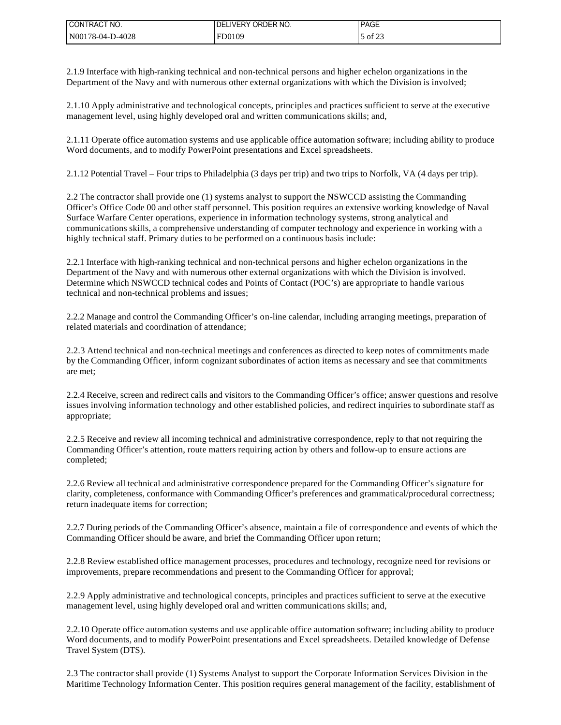| I CONTRACT NO.   | ORDER NO.<br><b>IVERY</b><br>DF | <b>PAGE</b> |
|------------------|---------------------------------|-------------|
| N00178-04-D-4028 | FD0109                          | of 23       |

2.1.9 Interface with high-ranking technical and non-technical persons and higher echelon organizations in the Department of the Navy and with numerous other external organizations with which the Division is involved;

2.1.10 Apply administrative and technological concepts, principles and practices sufficient to serve at the executive management level, using highly developed oral and written communications skills; and,

2.1.11 Operate office automation systems and use applicable office automation software; including ability to produce Word documents, and to modify PowerPoint presentations and Excel spreadsheets.

2.1.12 Potential Travel – Four trips to Philadelphia (3 days per trip) and two trips to Norfolk, VA (4 days per trip).

2.2 The contractor shall provide one (1) systems analyst to support the NSWCCD assisting the Commanding Officer's Office Code 00 and other staff personnel. This position requires an extensive working knowledge of Naval Surface Warfare Center operations, experience in information technology systems, strong analytical and communications skills, a comprehensive understanding of computer technology and experience in working with a highly technical staff. Primary duties to be performed on a continuous basis include:

2.2.1 Interface with high-ranking technical and non-technical persons and higher echelon organizations in the Department of the Navy and with numerous other external organizations with which the Division is involved. Determine which NSWCCD technical codes and Points of Contact (POC's) are appropriate to handle various technical and non-technical problems and issues;

2.2.2 Manage and control the Commanding Officer's on-line calendar, including arranging meetings, preparation of related materials and coordination of attendance;

2.2.3 Attend technical and non-technical meetings and conferences as directed to keep notes of commitments made by the Commanding Officer, inform cognizant subordinates of action items as necessary and see that commitments are met;

2.2.4 Receive, screen and redirect calls and visitors to the Commanding Officer's office; answer questions and resolve issues involving information technology and other established policies, and redirect inquiries to subordinate staff as appropriate;

2.2.5 Receive and review all incoming technical and administrative correspondence, reply to that not requiring the Commanding Officer's attention, route matters requiring action by others and follow-up to ensure actions are completed;

2.2.6 Review all technical and administrative correspondence prepared for the Commanding Officer's signature for clarity, completeness, conformance with Commanding Officer's preferences and grammatical/procedural correctness; return inadequate items for correction;

2.2.7 During periods of the Commanding Officer's absence, maintain a file of correspondence and events of which the Commanding Officer should be aware, and brief the Commanding Officer upon return;

2.2.8 Review established office management processes, procedures and technology, recognize need for revisions or improvements, prepare recommendations and present to the Commanding Officer for approval;

2.2.9 Apply administrative and technological concepts, principles and practices sufficient to serve at the executive management level, using highly developed oral and written communications skills; and,

2.2.10 Operate office automation systems and use applicable office automation software; including ability to produce Word documents, and to modify PowerPoint presentations and Excel spreadsheets. Detailed knowledge of Defense Travel System (DTS).

2.3 The contractor shall provide (1) Systems Analyst to support the Corporate Information Services Division in the Maritime Technology Information Center. This position requires general management of the facility, establishment of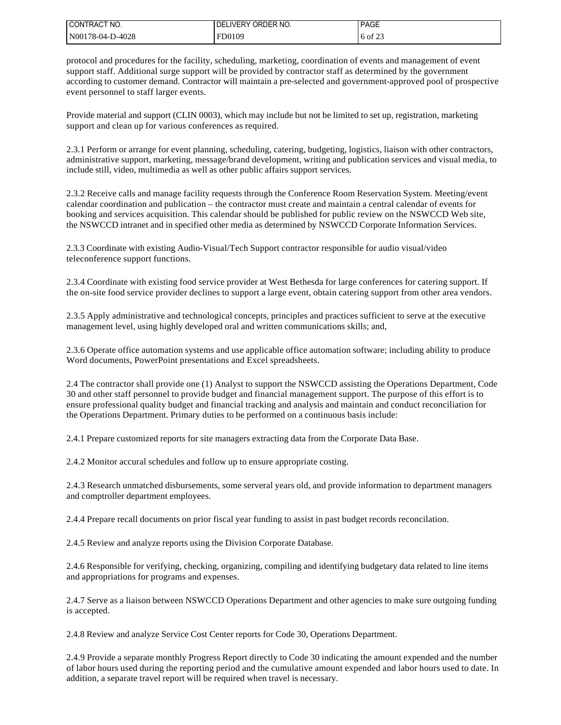| I CONTRACT NO.   | I DELIVERY ORDER NO. | <b>PAGE</b> |
|------------------|----------------------|-------------|
| N00178-04-D-4028 | FD0109               | 6 of 23     |

protocol and procedures for the facility, scheduling, marketing, coordination of events and management of event support staff. Additional surge support will be provided by contractor staff as determined by the government according to customer demand. Contractor will maintain a pre-selected and government-approved pool of prospective event personnel to staff larger events.

Provide material and support (CLIN 0003), which may include but not be limited to set up, registration, marketing support and clean up for various conferences as required.

2.3.1 Perform or arrange for event planning, scheduling, catering, budgeting, logistics, liaison with other contractors, administrative support, marketing, message/brand development, writing and publication services and visual media, to include still, video, multimedia as well as other public affairs support services.

2.3.2 Receive calls and manage facility requests through the Conference Room Reservation System. Meeting/event calendar coordination and publication – the contractor must create and maintain a central calendar of events for booking and services acquisition. This calendar should be published for public review on the NSWCCD Web site, the NSWCCD intranet and in specified other media as determined by NSWCCD Corporate Information Services.

2.3.3 Coordinate with existing Audio-Visual/Tech Support contractor responsible for audio visual/video teleconference support functions.

2.3.4 Coordinate with existing food service provider at West Bethesda for large conferences for catering support. If the on-site food service provider declines to support a large event, obtain catering support from other area vendors.

2.3.5 Apply administrative and technological concepts, principles and practices sufficient to serve at the executive management level, using highly developed oral and written communications skills; and,

2.3.6 Operate office automation systems and use applicable office automation software; including ability to produce Word documents, PowerPoint presentations and Excel spreadsheets.

2.4 The contractor shall provide one (1) Analyst to support the NSWCCD assisting the Operations Department, Code 30 and other staff personnel to provide budget and financial management support. The purpose of this effort is to ensure professional quality budget and financial tracking and analysis and maintain and conduct reconciliation for the Operations Department. Primary duties to be performed on a continuous basis include:

2.4.1 Prepare customized reports for site managers extracting data from the Corporate Data Base.

2.4.2 Monitor accural schedules and follow up to ensure appropriate costing.

2.4.3 Research unmatched disbursements, some serveral years old, and provide information to department managers and comptroller department employees.

2.4.4 Prepare recall documents on prior fiscal year funding to assist in past budget records reconcilation.

2.4.5 Review and analyze reports using the Division Corporate Database.

2.4.6 Responsible for verifying, checking, organizing, compiling and identifying budgetary data related to line items and appropriations for programs and expenses.

2.4.7 Serve as a liaison between NSWCCD Operations Department and other agencies to make sure outgoing funding is accepted.

2.4.8 Review and analyze Service Cost Center reports for Code 30, Operations Department.

2.4.9 Provide a separate monthly Progress Report directly to Code 30 indicating the amount expended and the number of labor hours used during the reporting period and the cumulative amount expended and labor hours used to date. In addition, a separate travel report will be required when travel is necessary.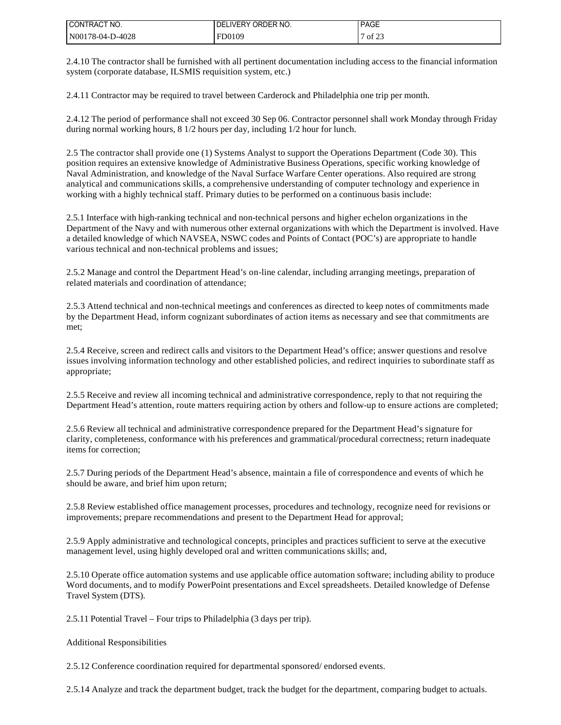| I CONTRACT NO.   | I DELIVERY ORDER NO. | <b>PAGE</b> |
|------------------|----------------------|-------------|
| N00178-04-D-4028 | FD0109               | 7 of 23     |

2.4.10 The contractor shall be furnished with all pertinent documentation including access to the financial information system (corporate database, ILSMIS requisition system, etc.)

2.4.11 Contractor may be required to travel between Carderock and Philadelphia one trip per month.

2.4.12 The period of performance shall not exceed 30 Sep 06. Contractor personnel shall work Monday through Friday during normal working hours, 8 1/2 hours per day, including 1/2 hour for lunch.

2.5 The contractor shall provide one (1) Systems Analyst to support the Operations Department (Code 30). This position requires an extensive knowledge of Administrative Business Operations, specific working knowledge of Naval Administration, and knowledge of the Naval Surface Warfare Center operations. Also required are strong analytical and communications skills, a comprehensive understanding of computer technology and experience in working with a highly technical staff. Primary duties to be performed on a continuous basis include:

2.5.1 Interface with high-ranking technical and non-technical persons and higher echelon organizations in the Department of the Navy and with numerous other external organizations with which the Department is involved. Have a detailed knowledge of which NAVSEA, NSWC codes and Points of Contact (POC's) are appropriate to handle various technical and non-technical problems and issues;

2.5.2 Manage and control the Department Head's on-line calendar, including arranging meetings, preparation of related materials and coordination of attendance;

2.5.3 Attend technical and non-technical meetings and conferences as directed to keep notes of commitments made by the Department Head, inform cognizant subordinates of action items as necessary and see that commitments are met;

2.5.4 Receive, screen and redirect calls and visitors to the Department Head's office; answer questions and resolve issues involving information technology and other established policies, and redirect inquiries to subordinate staff as appropriate;

2.5.5 Receive and review all incoming technical and administrative correspondence, reply to that not requiring the Department Head's attention, route matters requiring action by others and follow-up to ensure actions are completed;

2.5.6 Review all technical and administrative correspondence prepared for the Department Head's signature for clarity, completeness, conformance with his preferences and grammatical/procedural correctness; return inadequate items for correction;

2.5.7 During periods of the Department Head's absence, maintain a file of correspondence and events of which he should be aware, and brief him upon return;

2.5.8 Review established office management processes, procedures and technology, recognize need for revisions or improvements; prepare recommendations and present to the Department Head for approval;

2.5.9 Apply administrative and technological concepts, principles and practices sufficient to serve at the executive management level, using highly developed oral and written communications skills; and,

2.5.10 Operate office automation systems and use applicable office automation software; including ability to produce Word documents, and to modify PowerPoint presentations and Excel spreadsheets. Detailed knowledge of Defense Travel System (DTS).

2.5.11 Potential Travel – Four trips to Philadelphia (3 days per trip).

Additional Responsibilities

2.5.12 Conference coordination required for departmental sponsored/ endorsed events.

2.5.14 Analyze and track the department budget, track the budget for the department, comparing budget to actuals.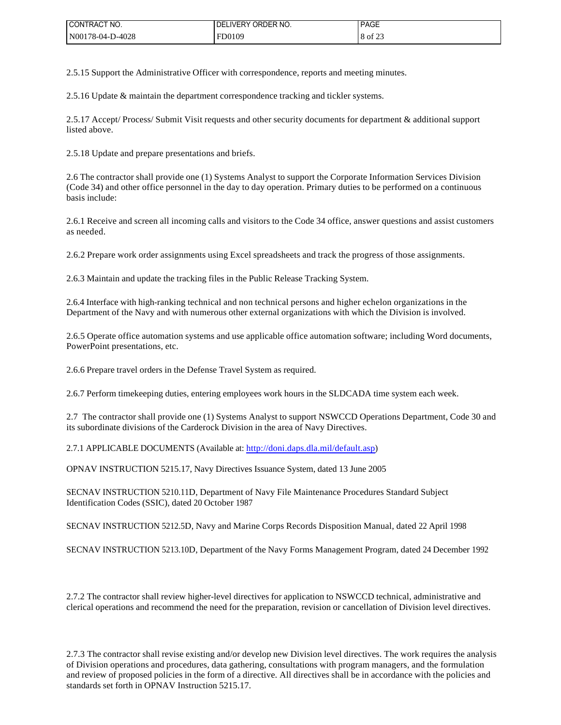| I CONTRACT NO.   | DEI<br>LIVERY<br>' ORDER NO. | <b>PAGE</b> |
|------------------|------------------------------|-------------|
| N00178-04-D-4028 | FD0109                       | 8 of 23     |

2.5.15 Support the Administrative Officer with correspondence, reports and meeting minutes.

2.5.16 Update & maintain the department correspondence tracking and tickler systems.

2.5.17 Accept/ Process/ Submit Visit requests and other security documents for department & additional support listed above.

2.5.18 Update and prepare presentations and briefs.

2.6 The contractor shall provide one (1) Systems Analyst to support the Corporate Information Services Division (Code 34) and other office personnel in the day to day operation. Primary duties to be performed on a continuous basis include:

2.6.1 Receive and screen all incoming calls and visitors to the Code 34 office, answer questions and assist customers as needed.

2.6.2 Prepare work order assignments using Excel spreadsheets and track the progress of those assignments.

2.6.3 Maintain and update the tracking files in the Public Release Tracking System.

2.6.4 Interface with high-ranking technical and non technical persons and higher echelon organizations in the Department of the Navy and with numerous other external organizations with which the Division is involved.

2.6.5 Operate office automation systems and use applicable office automation software; including Word documents, PowerPoint presentations, etc.

2.6.6 Prepare travel orders in the Defense Travel System as required.

2.6.7 Perform timekeeping duties, entering employees work hours in the SLDCADA time system each week.

2.7 The contractor shall provide one (1) Systems Analyst to support NSWCCD Operations Department, Code 30 and its subordinate divisions of the Carderock Division in the area of Navy Directives.

2.7.1 APPLICABLE DOCUMENTS (Available at: [http://doni.daps.dla.mil/default.asp\)](http://doni.daps.dla.mil/default.aspx)

OPNAV INSTRUCTION 5215.17, Navy Directives Issuance System, dated 13 June 2005

SECNAV INSTRUCTION 5210.11D, Department of Navy File Maintenance Procedures Standard Subject Identification Codes (SSIC), dated 20 October 1987

SECNAV INSTRUCTION 5212.5D, Navy and Marine Corps Records Disposition Manual, dated 22 April 1998

SECNAV INSTRUCTION 5213.10D, Department of the Navy Forms Management Program, dated 24 December 1992

2.7.2 The contractor shall review higher-level directives for application to NSWCCD technical, administrative and clerical operations and recommend the need for the preparation, revision or cancellation of Division level directives.

2.7.3 The contractor shall revise existing and/or develop new Division level directives. The work requires the analysis of Division operations and procedures, data gathering, consultations with program managers, and the formulation and review of proposed policies in the form of a directive. All directives shall be in accordance with the policies and standards set forth in OPNAV Instruction 5215.17.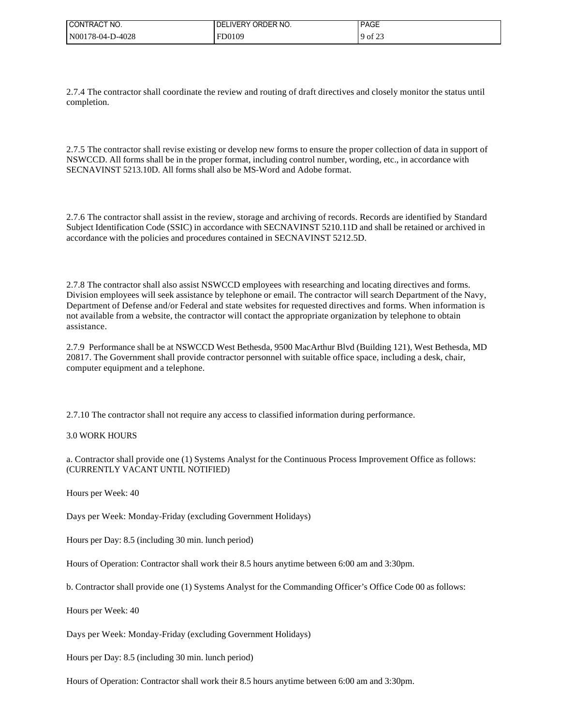| I CONTRACT NO.   | ORDER NO.<br><b>LIVERY</b><br>DE | PAGE                   |
|------------------|----------------------------------|------------------------|
| N00178-04-D-4028 | FD0109                           | $\sim$ 0.00<br>of $2z$ |

2.7.4 The contractor shall coordinate the review and routing of draft directives and closely monitor the status until completion.

2.7.5 The contractor shall revise existing or develop new forms to ensure the proper collection of data in support of NSWCCD. All forms shall be in the proper format, including control number, wording, etc., in accordance with SECNAVINST 5213.10D. All forms shall also be MS-Word and Adobe format.

2.7.6 The contractor shall assist in the review, storage and archiving of records. Records are identified by Standard Subject Identification Code (SSIC) in accordance with SECNAVINST 5210.11D and shall be retained or archived in accordance with the policies and procedures contained in SECNAVINST 5212.5D.

2.7.8 The contractor shall also assist NSWCCD employees with researching and locating directives and forms. Division employees will seek assistance by telephone or email. The contractor will search Department of the Navy, Department of Defense and/or Federal and state websites for requested directives and forms. When information is not available from a website, the contractor will contact the appropriate organization by telephone to obtain assistance.

2.7.9 Performance shall be at NSWCCD West Bethesda, 9500 MacArthur Blvd (Building 121), West Bethesda, MD 20817. The Government shall provide contractor personnel with suitable office space, including a desk, chair, computer equipment and a telephone.

2.7.10 The contractor shall not require any access to classified information during performance.

### 3.0 WORK HOURS

a. Contractor shall provide one (1) Systems Analyst for the Continuous Process Improvement Office as follows: (CURRENTLY VACANT UNTIL NOTIFIED)

Hours per Week: 40

Days per Week: Monday-Friday (excluding Government Holidays)

Hours per Day: 8.5 (including 30 min. lunch period)

Hours of Operation: Contractor shall work their 8.5 hours anytime between 6:00 am and 3:30pm.

b. Contractor shall provide one (1) Systems Analyst for the Commanding Officer's Office Code 00 as follows:

Hours per Week: 40

Days per Week: Monday-Friday (excluding Government Holidays)

Hours per Day: 8.5 (including 30 min. lunch period)

Hours of Operation: Contractor shall work their 8.5 hours anytime between 6:00 am and 3:30pm.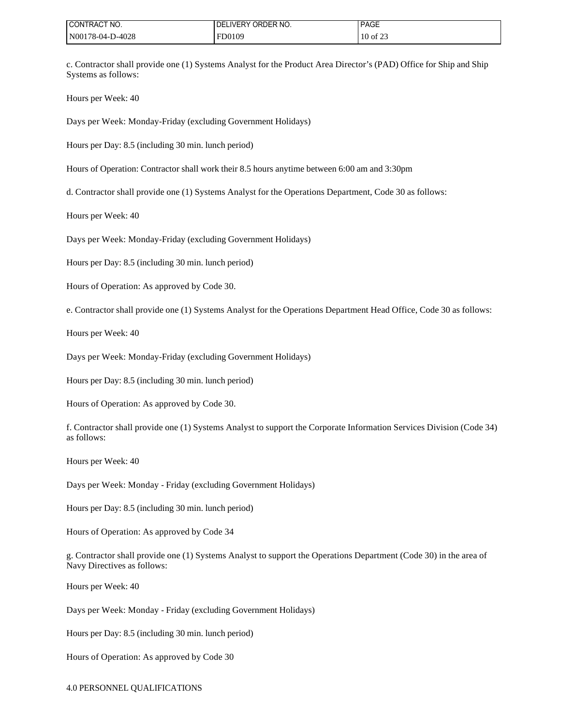| I CONTRACT NO.   | l DELIVERY ORDER NO. | <b>PAGE</b> |
|------------------|----------------------|-------------|
| N00178-04-D-4028 | FD0109               | 10 of 23    |

c. Contractor shall provide one (1) Systems Analyst for the Product Area Director's (PAD) Office for Ship and Ship Systems as follows:

Hours per Week: 40

Days per Week: Monday-Friday (excluding Government Holidays)

Hours per Day: 8.5 (including 30 min. lunch period)

Hours of Operation: Contractor shall work their 8.5 hours anytime between 6:00 am and 3:30pm

d. Contractor shall provide one (1) Systems Analyst for the Operations Department, Code 30 as follows:

Hours per Week: 40

Days per Week: Monday-Friday (excluding Government Holidays)

Hours per Day: 8.5 (including 30 min. lunch period)

Hours of Operation: As approved by Code 30.

e. Contractor shall provide one (1) Systems Analyst for the Operations Department Head Office, Code 30 as follows:

Hours per Week: 40

Days per Week: Monday-Friday (excluding Government Holidays)

Hours per Day: 8.5 (including 30 min. lunch period)

Hours of Operation: As approved by Code 30.

f. Contractor shall provide one (1) Systems Analyst to support the Corporate Information Services Division (Code 34) as follows:

Hours per Week: 40

Days per Week: Monday - Friday (excluding Government Holidays)

Hours per Day: 8.5 (including 30 min. lunch period)

Hours of Operation: As approved by Code 34

g. Contractor shall provide one (1) Systems Analyst to support the Operations Department (Code 30) in the area of Navy Directives as follows:

Hours per Week: 40

Days per Week: Monday - Friday (excluding Government Holidays)

Hours per Day: 8.5 (including 30 min. lunch period)

Hours of Operation: As approved by Code 30

4.0 PERSONNEL QUALIFICATIONS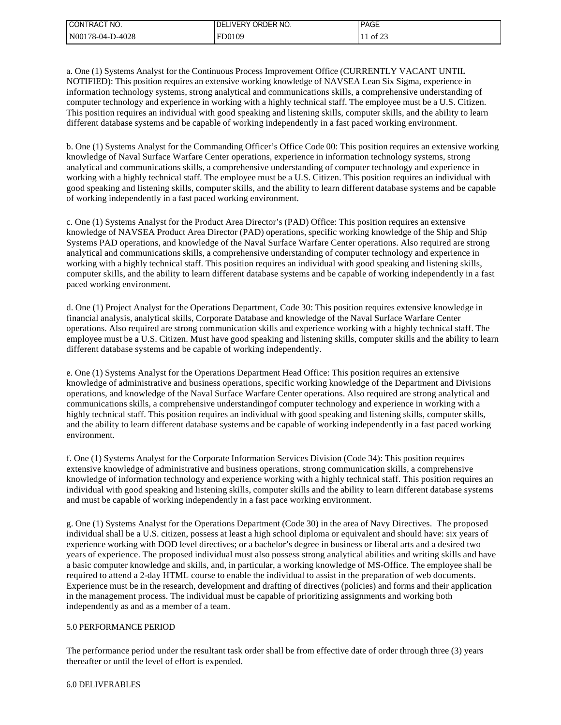| I CONTRACT NO.   | ' IVERY ORDER NO.<br>DEI | <b>PAGE</b> |
|------------------|--------------------------|-------------|
| N00178-04-D-4028 | FD0109                   | of $23$     |

a. One (1) Systems Analyst for the Continuous Process Improvement Office (CURRENTLY VACANT UNTIL NOTIFIED): This position requires an extensive working knowledge of NAVSEA Lean Six Sigma, experience in information technology systems, strong analytical and communications skills, a comprehensive understanding of computer technology and experience in working with a highly technical staff. The employee must be a U.S. Citizen. This position requires an individual with good speaking and listening skills, computer skills, and the ability to learn different database systems and be capable of working independently in a fast paced working environment.

b. One (1) Systems Analyst for the Commanding Officer's Office Code 00: This position requires an extensive working knowledge of Naval Surface Warfare Center operations, experience in information technology systems, strong analytical and communications skills, a comprehensive understanding of computer technology and experience in working with a highly technical staff. The employee must be a U.S. Citizen. This position requires an individual with good speaking and listening skills, computer skills, and the ability to learn different database systems and be capable of working independently in a fast paced working environment.

c. One (1) Systems Analyst for the Product Area Director's (PAD) Office: This position requires an extensive knowledge of NAVSEA Product Area Director (PAD) operations, specific working knowledge of the Ship and Ship Systems PAD operations, and knowledge of the Naval Surface Warfare Center operations. Also required are strong analytical and communications skills, a comprehensive understanding of computer technology and experience in working with a highly technical staff. This position requires an individual with good speaking and listening skills, computer skills, and the ability to learn different database systems and be capable of working independently in a fast paced working environment.

d. One (1) Project Analyst for the Operations Department, Code 30: This position requires extensive knowledge in financial analysis, analytical skills, Corporate Database and knowledge of the Naval Surface Warfare Center operations. Also required are strong communication skills and experience working with a highly technical staff. The employee must be a U.S. Citizen. Must have good speaking and listening skills, computer skills and the ability to learn different database systems and be capable of working independently.

e. One (1) Systems Analyst for the Operations Department Head Office: This position requires an extensive knowledge of administrative and business operations, specific working knowledge of the Department and Divisions operations, and knowledge of the Naval Surface Warfare Center operations. Also required are strong analytical and communications skills, a comprehensive understandingof computer technology and experience in working with a highly technical staff. This position requires an individual with good speaking and listening skills, computer skills, and the ability to learn different database systems and be capable of working independently in a fast paced working environment.

f. One (1) Systems Analyst for the Corporate Information Services Division (Code 34): This position requires extensive knowledge of administrative and business operations, strong communication skills, a comprehensive knowledge of information technology and experience working with a highly technical staff. This position requires an individual with good speaking and listening skills, computer skills and the ability to learn different database systems and must be capable of working independently in a fast pace working environment.

g. One (1) Systems Analyst for the Operations Department (Code 30) in the area of Navy Directives. The proposed individual shall be a U.S. citizen, possess at least a high school diploma or equivalent and should have: six years of experience working with DOD level directives; or a bachelor's degree in business or liberal arts and a desired two years of experience. The proposed individual must also possess strong analytical abilities and writing skills and have a basic computer knowledge and skills, and, in particular, a working knowledge of MS-Office. The employee shall be required to attend a 2-day HTML course to enable the individual to assist in the preparation of web documents. Experience must be in the research, development and drafting of directives (policies) and forms and their application in the management process. The individual must be capable of prioritizing assignments and working both independently as and as a member of a team.

### 5.0 PERFORMANCE PERIOD

The performance period under the resultant task order shall be from effective date of order through three (3) years thereafter or until the level of effort is expended.

#### 6.0 DELIVERABLES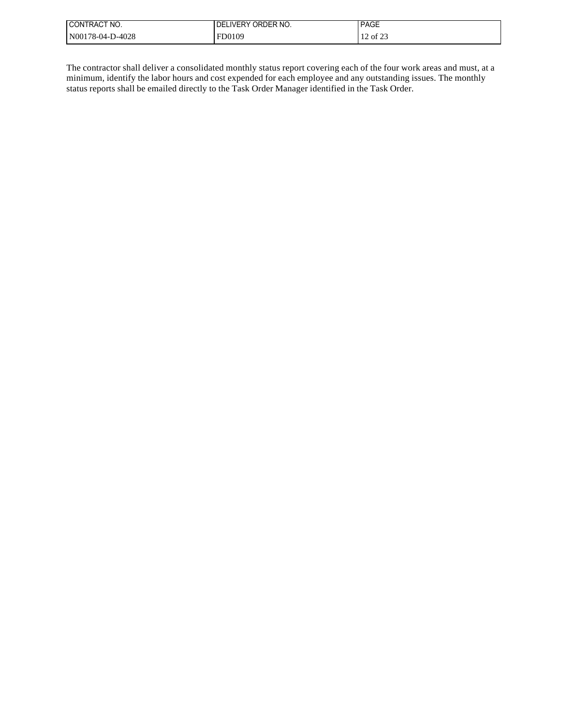| I CONTRACT NO.   | LIVERY ORDER NO.<br>DEI | <b>PAGE</b> |
|------------------|-------------------------|-------------|
| N00178-04-D-4028 | FD0109                  | 12 of 23    |

The contractor shall deliver a consolidated monthly status report covering each of the four work areas and must, at a minimum, identify the labor hours and cost expended for each employee and any outstanding issues. The monthly status reports shall be emailed directly to the Task Order Manager identified in the Task Order.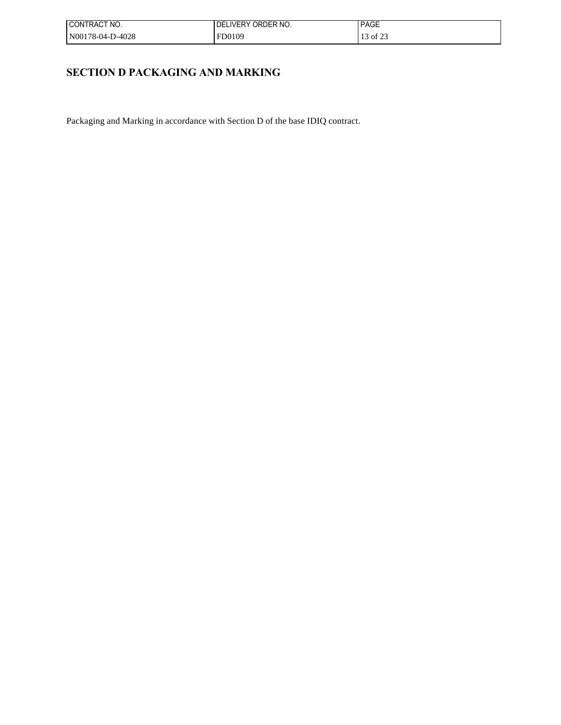| ! CONTRACT NO.   | I DELIVERY ORDER NO. | <b>PAGE</b> |
|------------------|----------------------|-------------|
| N00178-04-D-4028 | FD0109               | 13 of 23    |

# **SECTION D PACKAGING AND MARKING**

Packaging and Marking in accordance with Section D of the base IDIQ contract.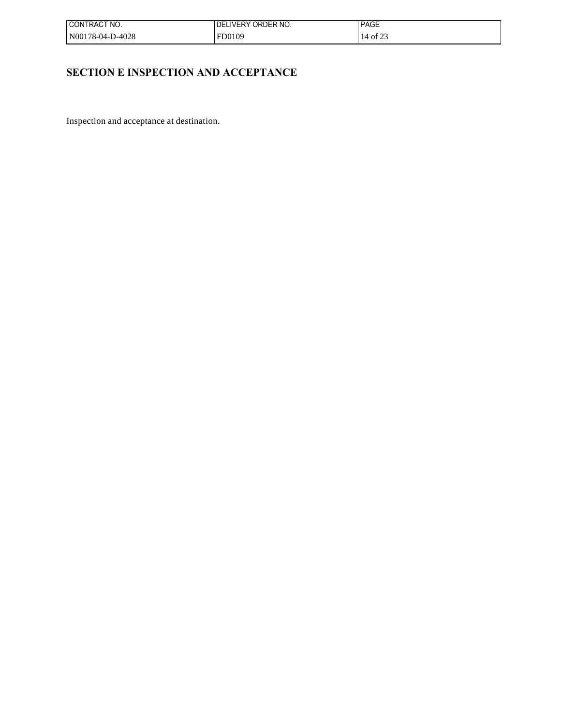| I CONTRACT NO.   | I DELIVERY ORDER NO. | <b>PAGE</b> |
|------------------|----------------------|-------------|
| N00178-04-D-4028 | FD0109               | 14 of 23    |

# **SECTION E INSPECTION AND ACCEPTANCE**

Inspection and acceptance at destination.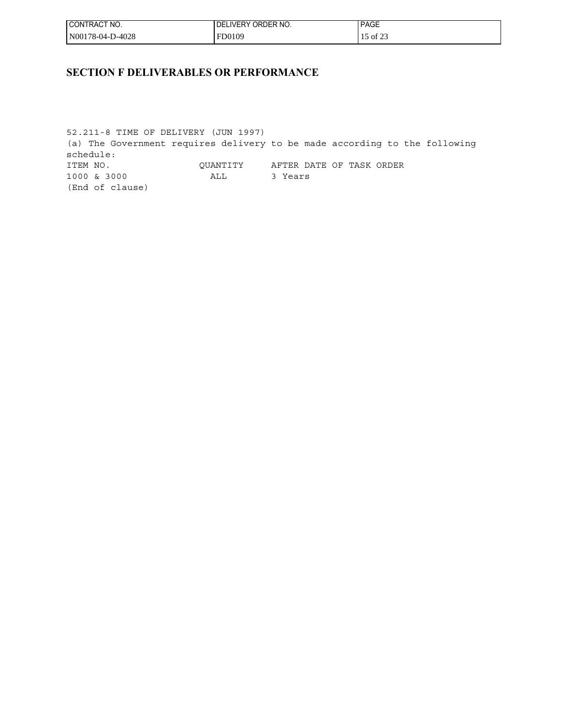| ' CONTRACT NO.   | ORDER NO.<br>DELIVERY ( | <b>PAGE</b>                        |
|------------------|-------------------------|------------------------------------|
| N00178-04-D-4028 | FD0109                  | $\epsilon$ $\sim$<br>ר of $\angle$ |

## **SECTION F DELIVERABLES OR PERFORMANCE**

52.211-8 TIME OF DELIVERY (JUN 1997) (a) The Government requires delivery to be made according to the following schedule: ITEM NO. QUANTITY AFTER DATE OF TASK ORDER 1000 & 3000 ALL 3 Years (End of clause)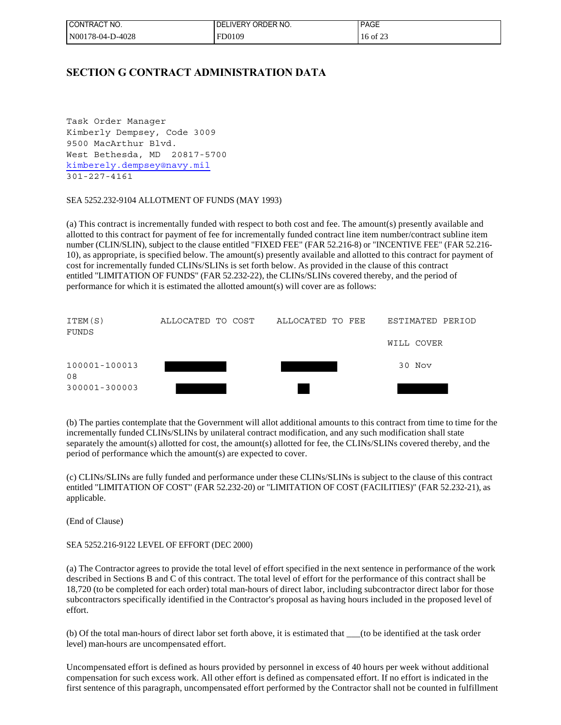| I CONTRACT NO.   | LIVERY ORDER NO.<br>DEL | <b>PAGE</b> |
|------------------|-------------------------|-------------|
| N00178-04-D-4028 | FD0109                  | 16 of 23    |

### **SECTION G CONTRACT ADMINISTRATION DATA**

Task Order Manager Kimberly Dempsey, Code 3009 9500 MacArthur Blvd. West Bethesda, MD 20817-5700 [kimberely.dempsey@navy.mil](mailto:kimberely.dempsey@navy.mil) 301-227-4161

### SEA 5252.232-9104 ALLOTMENT OF FUNDS (MAY 1993)

(a) This contract is incrementally funded with respect to both cost and fee. The amount(s) presently available and allotted to this contract for payment of fee for incrementally funded contract line item number/contract subline item number (CLIN/SLIN), subject to the clause entitled "FIXED FEE" (FAR 52.216-8) or "INCENTIVE FEE" (FAR 52.216- 10), as appropriate, is specified below. The amount(s) presently available and allotted to this contract for payment of cost for incrementally funded CLINs/SLINs is set forth below. As provided in the clause of this contract entitled "LIMITATION OF FUNDS" (FAR 52.232-22), the CLINs/SLINs covered thereby, and the period of performance for which it is estimated the allotted amount(s) will cover are as follows:

| ITEM(S)<br>FUNDS    | ALLOCATED TO COST | ALLOCATED TO FEE | ESTIMATED PERIOD |  |
|---------------------|-------------------|------------------|------------------|--|
|                     |                   |                  | WILL COVER       |  |
| 100001-100013<br>08 |                   |                  | 30 Nov           |  |
| 300001-300003       |                   |                  |                  |  |

(b) The parties contemplate that the Government will allot additional amounts to this contract from time to time for the incrementally funded CLINs/SLINs by unilateral contract modification, and any such modification shall state separately the amount(s) allotted for cost, the amount(s) allotted for fee, the CLINs/SLINs covered thereby, and the period of performance which the amount(s) are expected to cover.

(c) CLINs/SLINs are fully funded and performance under these CLINs/SLINs is subject to the clause of this contract entitled "LIMITATION OF COST" (FAR 52.232-20) or "LIMITATION OF COST (FACILITIES)" (FAR 52.232-21), as applicable.

(End of Clause)

### SEA 5252.216-9122 LEVEL OF EFFORT (DEC 2000)

(a) The Contractor agrees to provide the total level of effort specified in the next sentence in performance of the work described in Sections B and C of this contract. The total level of effort for the performance of this contract shall be 18,720 (to be completed for each order) total man-hours of direct labor, including subcontractor direct labor for those subcontractors specifically identified in the Contractor's proposal as having hours included in the proposed level of effort.

(b) Of the total man-hours of direct labor set forth above, it is estimated that \_\_\_(to be identified at the task order level) man-hours are uncompensated effort.

Uncompensated effort is defined as hours provided by personnel in excess of 40 hours per week without additional compensation for such excess work. All other effort is defined as compensated effort. If no effort is indicated in the first sentence of this paragraph, uncompensated effort performed by the Contractor shall not be counted in fulfillment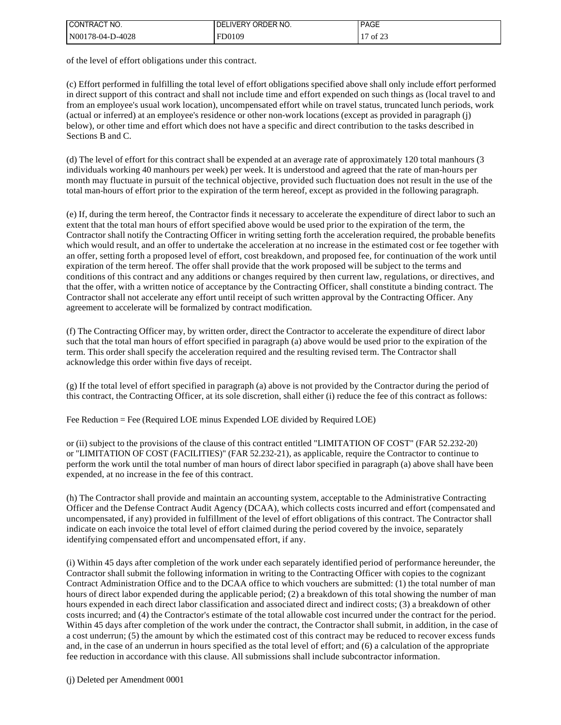| CONTRACT NO.     | I DELIVERY ORDER NO. | <b>PAGE</b>                         |
|------------------|----------------------|-------------------------------------|
| N00178-04-D-4028 | FD0109               | of $23$<br>$\overline{\phantom{a}}$ |

of the level of effort obligations under this contract.

(c) Effort performed in fulfilling the total level of effort obligations specified above shall only include effort performed in direct support of this contract and shall not include time and effort expended on such things as (local travel to and from an employee's usual work location), uncompensated effort while on travel status, truncated lunch periods, work (actual or inferred) at an employee's residence or other non-work locations (except as provided in paragraph (j) below), or other time and effort which does not have a specific and direct contribution to the tasks described in Sections B and C.

(d) The level of effort for this contract shall be expended at an average rate of approximately 120 total manhours (3 individuals working 40 manhours per week) per week. It is understood and agreed that the rate of man-hours per month may fluctuate in pursuit of the technical objective, provided such fluctuation does not result in the use of the total man-hours of effort prior to the expiration of the term hereof, except as provided in the following paragraph.

(e) If, during the term hereof, the Contractor finds it necessary to accelerate the expenditure of direct labor to such an extent that the total man hours of effort specified above would be used prior to the expiration of the term, the Contractor shall notify the Contracting Officer in writing setting forth the acceleration required, the probable benefits which would result, and an offer to undertake the acceleration at no increase in the estimated cost or fee together with an offer, setting forth a proposed level of effort, cost breakdown, and proposed fee, for continuation of the work until expiration of the term hereof. The offer shall provide that the work proposed will be subject to the terms and conditions of this contract and any additions or changes required by then current law, regulations, or directives, and that the offer, with a written notice of acceptance by the Contracting Officer, shall constitute a binding contract. The Contractor shall not accelerate any effort until receipt of such written approval by the Contracting Officer. Any agreement to accelerate will be formalized by contract modification.

(f) The Contracting Officer may, by written order, direct the Contractor to accelerate the expenditure of direct labor such that the total man hours of effort specified in paragraph (a) above would be used prior to the expiration of the term. This order shall specify the acceleration required and the resulting revised term. The Contractor shall acknowledge this order within five days of receipt.

(g) If the total level of effort specified in paragraph (a) above is not provided by the Contractor during the period of this contract, the Contracting Officer, at its sole discretion, shall either (i) reduce the fee of this contract as follows:

Fee Reduction = Fee (Required LOE minus Expended LOE divided by Required LOE)

or (ii) subject to the provisions of the clause of this contract entitled "LIMITATION OF COST" (FAR 52.232-20) or "LIMITATION OF COST (FACILITIES)" (FAR 52.232-21), as applicable, require the Contractor to continue to perform the work until the total number of man hours of direct labor specified in paragraph (a) above shall have been expended, at no increase in the fee of this contract.

(h) The Contractor shall provide and maintain an accounting system, acceptable to the Administrative Contracting Officer and the Defense Contract Audit Agency (DCAA), which collects costs incurred and effort (compensated and uncompensated, if any) provided in fulfillment of the level of effort obligations of this contract. The Contractor shall indicate on each invoice the total level of effort claimed during the period covered by the invoice, separately identifying compensated effort and uncompensated effort, if any.

(i) Within 45 days after completion of the work under each separately identified period of performance hereunder, the Contractor shall submit the following information in writing to the Contracting Officer with copies to the cognizant Contract Administration Office and to the DCAA office to which vouchers are submitted: (1) the total number of man hours of direct labor expended during the applicable period; (2) a breakdown of this total showing the number of man hours expended in each direct labor classification and associated direct and indirect costs; (3) a breakdown of other costs incurred; and (4) the Contractor's estimate of the total allowable cost incurred under the contract for the period. Within 45 days after completion of the work under the contract, the Contractor shall submit, in addition, in the case of a cost underrun; (5) the amount by which the estimated cost of this contract may be reduced to recover excess funds and, in the case of an underrun in hours specified as the total level of effort; and (6) a calculation of the appropriate fee reduction in accordance with this clause. All submissions shall include subcontractor information.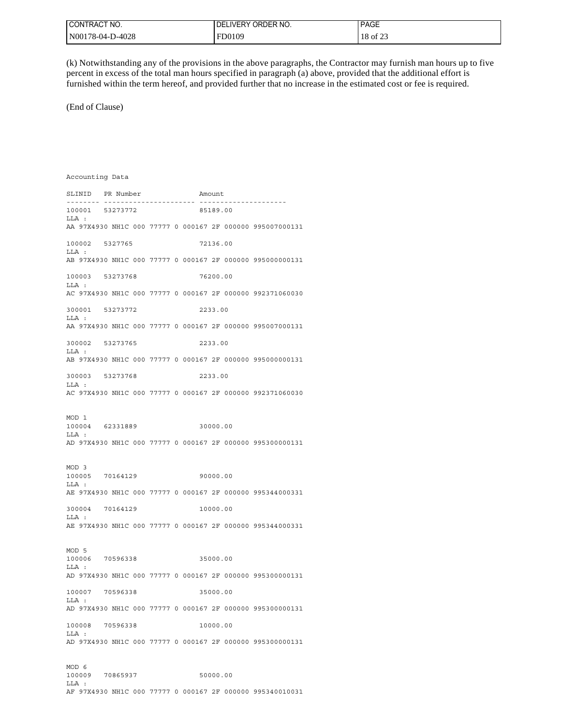| I CONTRACT NO.   | LIVERY ORDER NO.<br>DEL | <b>PAGE</b>                                |
|------------------|-------------------------|--------------------------------------------|
| N00178-04-D-4028 | FD0109                  | $\sim$ 0.00<br>18<br>$\cdot$ × of $\angle$ |

(k) Notwithstanding any of the provisions in the above paragraphs, the Contractor may furnish man hours up to five percent in excess of the total man hours specified in paragraph (a) above, provided that the additional effort is furnished within the term hereof, and provided further that no increase in the estimated cost or fee is required.

(End of Clause)

Accounting Data SLINID PR Number Amount -------- ---------------------- --------------------- 100001 53273772 LLA : AA 97X4930 NH1C 000 77777 0 000167 2F 000000 995007000131 100002 5327765 72136.00 LLA : AB 97X4930 NH1C 000 77777 0 000167 2F 000000 995000000131 100003 53273768 76200.00 LLA : AC 97X4930 NH1C 000 77777 0 000167 2F 000000 992371060030 300001 53273772 2233.00 LLA : AA 97X4930 NH1C 000 77777 0 000167 2F 000000 995007000131 300002 53273765 2233.00  $T.T.A$  : AB 97X4930 NH1C 000 77777 0 000167 2F 000000 995000000131 300003 53273768 2233.00 LLA : AC 97X4930 NH1C 000 77777 0 000167 2F 000000 992371060030 MOD 1 100004 62331889 30000.00 LLA : AD 97X4930 NH1C 000 77777 0 000167 2F 000000 995300000131 MOD 3 100005 70164129 90000.00 LLA : AE 97X4930 NH1C 000 77777 0 000167 2F 000000 995344000331 300004 70164129 10000.00 LLA : AE 97X4930 NH1C 000 77777 0 000167 2F 000000 995344000331 MOD 5 100006 70596338 35000.00 LLA : AD 97X4930 NH1C 000 77777 0 000167 2F 000000 995300000131 100007 70596338 35000.00 LLA : AD 97X4930 NH1C 000 77777 0 000167 2F 000000 995300000131 100008 70596338 10000.00 LLA : AD 97X4930 NH1C 000 77777 0 000167 2F 000000 995300000131 MOD 6 100009 70865937 50000.00

LLA : AF 97X4930 NH1C 000 77777 0 000167 2F 000000 995340010031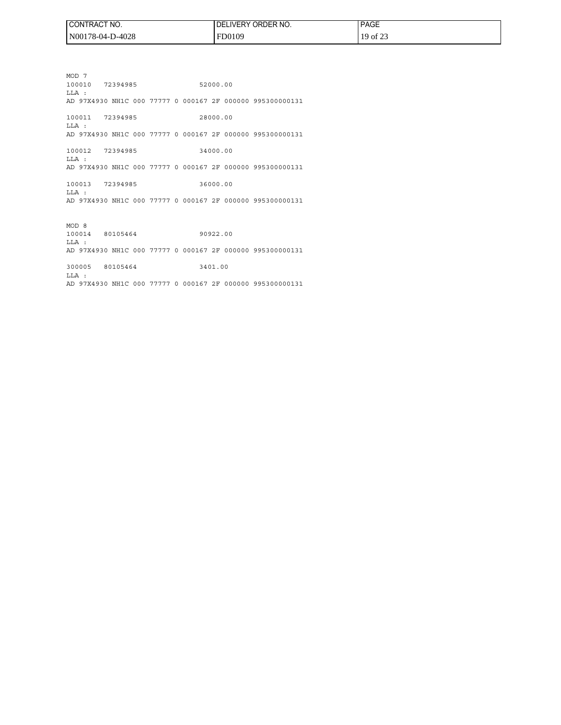| I CONTRACT NO.   | ' ORDER NO.<br>LIVERY <sup>®</sup><br>DEI | <b>PAGE</b> |
|------------------|-------------------------------------------|-------------|
| N00178-04-D-4028 | FD0109                                    | 19 of 23    |

MOD 7 100010 72394985 52000.00 LLA : AD 97X4930 NH1C 000 77777 0 000167 2F 000000 995300000131 100011 72394985 28000.00 LLA :

AD 97X4930 NH1C 000 77777 0 000167 2F 000000 995300000131

100012 72394985 34000.00 LLA : AD 97X4930 NH1C 000 77777 0 000167 2F 000000 995300000131

100013 72394985 36000.00 LLA : AD 97X4930 NH1C 000 77777 0 000167 2F 000000 995300000131

MOD 8 100014 80105464 90922.00 LLA : AD 97X4930 NH1C 000 77777 0 000167 2F 000000 995300000131

300005 80105464 3401.00 LLA : AD 97X4930 NH1C 000 77777 0 000167 2F 000000 995300000131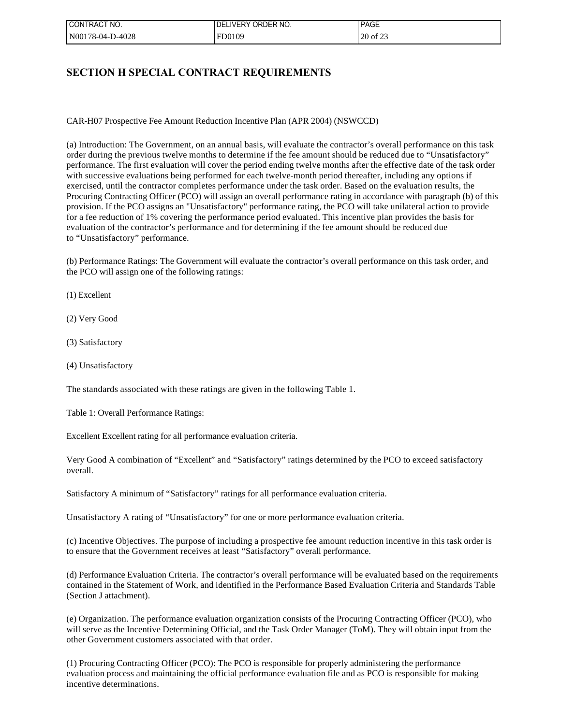| ' CONTRACT NO.   | ORDER NO.<br><b>LIVERY</b><br>DEL | <b>PAGE</b> |
|------------------|-----------------------------------|-------------|
| N00178-04-D-4028 | FD0109                            | 20 of 23    |

## **SECTION H SPECIAL CONTRACT REQUIREMENTS**

CAR-H07 Prospective Fee Amount Reduction Incentive Plan (APR 2004) (NSWCCD)

(a) Introduction: The Government, on an annual basis, will evaluate the contractor's overall performance on this task order during the previous twelve months to determine if the fee amount should be reduced due to "Unsatisfactory" performance. The first evaluation will cover the period ending twelve months after the effective date of the task order with successive evaluations being performed for each twelve-month period thereafter, including any options if exercised, until the contractor completes performance under the task order. Based on the evaluation results, the Procuring Contracting Officer (PCO) will assign an overall performance rating in accordance with paragraph (b) of this provision. If the PCO assigns an "Unsatisfactory" performance rating, the PCO will take unilateral action to provide for a fee reduction of 1% covering the performance period evaluated. This incentive plan provides the basis for evaluation of the contractor's performance and for determining if the fee amount should be reduced due to "Unsatisfactory" performance.

(b) Performance Ratings: The Government will evaluate the contractor's overall performance on this task order, and the PCO will assign one of the following ratings:

(1) Excellent

(2) Very Good

(3) Satisfactory

(4) Unsatisfactory

The standards associated with these ratings are given in the following Table 1.

Table 1: Overall Performance Ratings:

Excellent Excellent rating for all performance evaluation criteria.

Very Good A combination of "Excellent" and "Satisfactory" ratings determined by the PCO to exceed satisfactory overall.

Satisfactory A minimum of "Satisfactory" ratings for all performance evaluation criteria.

Unsatisfactory A rating of "Unsatisfactory" for one or more performance evaluation criteria.

(c) Incentive Objectives. The purpose of including a prospective fee amount reduction incentive in this task order is to ensure that the Government receives at least "Satisfactory" overall performance.

(d) Performance Evaluation Criteria. The contractor's overall performance will be evaluated based on the requirements contained in the Statement of Work, and identified in the Performance Based Evaluation Criteria and Standards Table (Section J attachment).

(e) Organization. The performance evaluation organization consists of the Procuring Contracting Officer (PCO), who will serve as the Incentive Determining Official, and the Task Order Manager (ToM). They will obtain input from the other Government customers associated with that order.

(1) Procuring Contracting Officer (PCO): The PCO is responsible for properly administering the performance evaluation process and maintaining the official performance evaluation file and as PCO is responsible for making incentive determinations.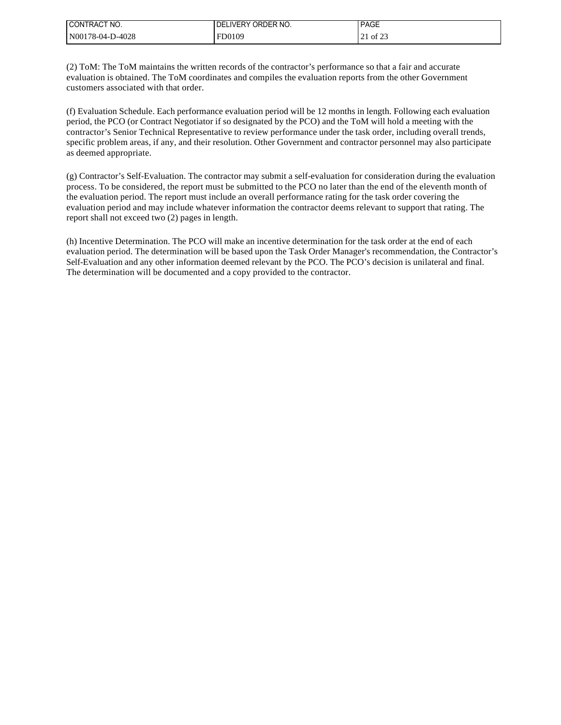| I CONTRACT NO.   | ' IVERY ORDER NO.<br>DEL | <b>PAGE</b>             |
|------------------|--------------------------|-------------------------|
| N00178-04-D-4028 | FD0109                   | $\sim$ 0.00<br>of $2$ : |

(2) ToM: The ToM maintains the written records of the contractor's performance so that a fair and accurate evaluation is obtained. The ToM coordinates and compiles the evaluation reports from the other Government customers associated with that order.

(f) Evaluation Schedule. Each performance evaluation period will be 12 months in length. Following each evaluation period, the PCO (or Contract Negotiator if so designated by the PCO) and the ToM will hold a meeting with the contractor's Senior Technical Representative to review performance under the task order, including overall trends, specific problem areas, if any, and their resolution. Other Government and contractor personnel may also participate as deemed appropriate.

(g) Contractor's Self-Evaluation. The contractor may submit a self-evaluation for consideration during the evaluation process. To be considered, the report must be submitted to the PCO no later than the end of the eleventh month of the evaluation period. The report must include an overall performance rating for the task order covering the evaluation period and may include whatever information the contractor deems relevant to support that rating. The report shall not exceed two (2) pages in length.

(h) Incentive Determination. The PCO will make an incentive determination for the task order at the end of each evaluation period. The determination will be based upon the Task Order Manager's recommendation, the Contractor's Self-Evaluation and any other information deemed relevant by the PCO. The PCO's decision is unilateral and final. The determination will be documented and a copy provided to the contractor.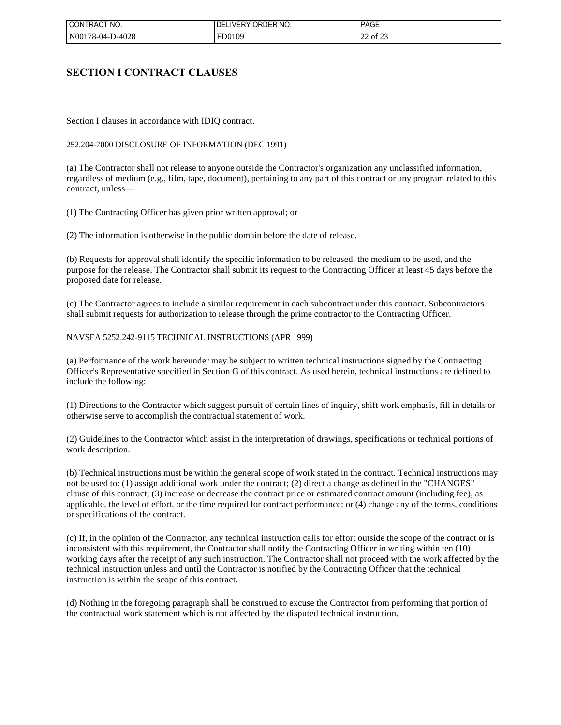| ! CONTRACT NO.   | <b>UVERY ORDER NO.</b><br>DEL | <b>PAGE</b> |
|------------------|-------------------------------|-------------|
| N00178-04-D-4028 | FD0109                        | 22 of 23    |

### **SECTION I CONTRACT CLAUSES**

Section I clauses in accordance with IDIQ contract.

### 252.204-7000 DISCLOSURE OF INFORMATION (DEC 1991)

(a) The Contractor shall not release to anyone outside the Contractor's organization any unclassified information, regardless of medium (e.g., film, tape, document), pertaining to any part of this contract or any program related to this contract, unless—

(1) The Contracting Officer has given prior written approval; or

(2) The information is otherwise in the public domain before the date of release.

(b) Requests for approval shall identify the specific information to be released, the medium to be used, and the purpose for the release. The Contractor shall submit its request to the Contracting Officer at least 45 days before the proposed date for release.

(c) The Contractor agrees to include a similar requirement in each subcontract under this contract. Subcontractors shall submit requests for authorization to release through the prime contractor to the Contracting Officer.

### NAVSEA 5252.242-9115 TECHNICAL INSTRUCTIONS (APR 1999)

(a) Performance of the work hereunder may be subject to written technical instructions signed by the Contracting Officer's Representative specified in Section G of this contract. As used herein, technical instructions are defined to include the following:

(1) Directions to the Contractor which suggest pursuit of certain lines of inquiry, shift work emphasis, fill in details or otherwise serve to accomplish the contractual statement of work.

(2) Guidelines to the Contractor which assist in the interpretation of drawings, specifications or technical portions of work description.

(b) Technical instructions must be within the general scope of work stated in the contract. Technical instructions may not be used to: (1) assign additional work under the contract; (2) direct a change as defined in the "CHANGES" clause of this contract; (3) increase or decrease the contract price or estimated contract amount (including fee), as applicable, the level of effort, or the time required for contract performance; or (4) change any of the terms, conditions or specifications of the contract.

(c) If, in the opinion of the Contractor, any technical instruction calls for effort outside the scope of the contract or is inconsistent with this requirement, the Contractor shall notify the Contracting Officer in writing within ten (10) working days after the receipt of any such instruction. The Contractor shall not proceed with the work affected by the technical instruction unless and until the Contractor is notified by the Contracting Officer that the technical instruction is within the scope of this contract.

(d) Nothing in the foregoing paragraph shall be construed to excuse the Contractor from performing that portion of the contractual work statement which is not affected by the disputed technical instruction.